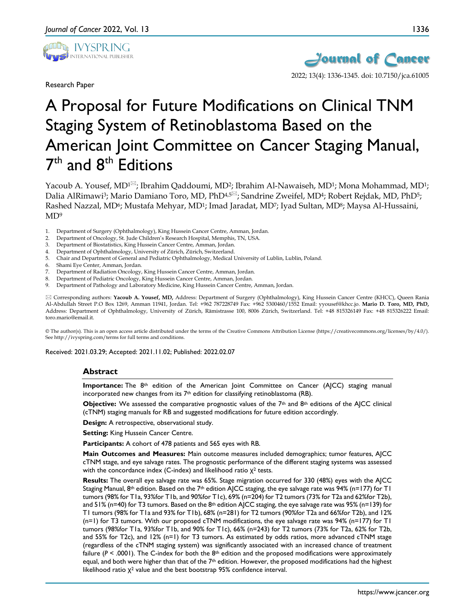

Research Paper



2022; 13(4): 1336-1345. doi: 10.7150/jca.61005

# A Proposal for Future Modifications on Clinical TNM Staging System of Retinoblastoma Based on the American Joint Committee on Cancer Staging Manual, 7<sup>th</sup> and 8<sup>th</sup> Editions

Yacoub A. Yousef, MD<sup>1 $\Xi$ </sup>; Ibrahim Qaddoumi, MD<sup>2</sup>; Ibrahim Al-Nawaiseh, MD<sup>1</sup>; Mona Mohammad, MD<sup>1</sup>; Dalia AlRimawi<sup>3</sup>; Mario Damiano Toro, MD, PhD<sup>4,5<sup>[2]</sup>; Sandrine Zweifel, MD<sup>4</sup>; Robert Rejdak, MD, PhD<sup>5</sup>;</sup> Rashed Nazzal, MD<sup>6</sup>; Mustafa Mehyar, MD<sup>1</sup>; Imad Jaradat, MD<sup>7</sup>; Iyad Sultan, MD<sup>8</sup>; Maysa Al-Hussaini,  $MD<sup>9</sup>$ 

- 1. Department of Surgery (Ophthalmology), King Hussein Cancer Centre, Amman, Jordan.
- 2. Department of Oncology, St. Jude Children's Research Hospital, Memphis, TN, USA.
- 3. Department of Biostatistics, King Hussein Cancer Centre, Amman, Jordan.
- 4. Department of Ophthalmology, University of Zürich, Zürich, Switzerland.
- 5. Chair and Department of General and Pediatric Ophthalmology, Medical University of Lublin, Lublin, Poland.
- 6. Shami Eye Center, Amman, Jordan.
- 7. Department of Radiation Oncology, King Hussein Cancer Centre, Amman, Jordan.
- 8. Department of Pediatric Oncology, King Hussein Cancer Centre, Amman, Jordan.
- Department of Pathology and Laboratory Medicine, King Hussein Cancer Centre, Amman, Jordan.

 Corresponding authors: **Yacoub A. Yousef, MD,** Address: Department of Surgery (Ophthalmology), King Hussein Cancer Centre (KHCC), Queen Rania Al-Abdullah Street P.O Box 1269, Amman 11941, Jordan. Tel: +962 787228749 Fax: +962 5300460/1552 Email: yyousef@khcc.jo. **Mario D. Toro, MD, PhD,**  Address: Department of Ophthalmology, University of Zürich, Rämistrasse 100, 8006 Zürich, Switzerland. Tel: +48 815326149 Fax: +48 815326222 Email: toro.mario@email.it.

© The author(s). This is an open access article distributed under the terms of the Creative Commons Attribution License (https://creativecommons.org/licenses/by/4.0/). See http://ivyspring.com/terms for full terms and conditions.

Received: 2021.03.29; Accepted: 2021.11.02; Published: 2022.02.07

#### **Abstract**

Importance: The 8<sup>th</sup> edition of the American Joint Committee on Cancer (AJCC) staging manual incorporated new changes from its 7th edition for classifying retinoblastoma (RB).

**Objective:** We assessed the comparative prognostic values of the 7<sup>th</sup> and 8<sup>th</sup> editions of the AJCC clinical (cTNM) staging manuals for RB and suggested modifications for future edition accordingly.

**Design:** A retrospective, observational study.

**Setting: King Hussein Cancer Centre.** 

**Participants:** A cohort of 478 patients and 565 eyes with RB.

**Main Outcomes and Measures:** Main outcome measures included demographics; tumor features, AJCC cTNM stage, and eye salvage rates. The prognostic performance of the different staging systems was assessed with the concordance index (C-index) and likelihood ratio  $X^2$  tests.

**Results:** The overall eye salvage rate was 65%. Stage migration occurred for 330 (48%) eyes with the AJCC Staging Manual, 8<sup>th</sup> edition. Based on the 7<sup>th</sup> edition AJCC staging, the eye salvage rate was 94% (n=177) for T1 tumors (98% for T1a, 93%for T1b, and 90%for T1c), 69% (n=204) for T2 tumors (73% for T2a and 62%for T2b), and 51% (n=40) for T3 tumors. Based on the 8th edition AJCC staging, the eye salvage rate was 95% (n=139) for T1 tumors (98% for T1a and 93% for T1b), 68% (n=281) for T2 tumors (90%for T2a and 66%for T2b), and 12% (n=1) for T3 tumors. With our proposed cTNM modifications, the eye salvage rate was 94% (n=177) for T1 tumors (98%for T1a, 93%for T1b, and 90% for T1c), 66% (n=243) for T2 tumors (73% for T2a, 62% for T2b, and 55% for T2c), and 12% (n=1) for T3 tumors. As estimated by odds ratios, more advanced cTNM stage (regardless of the cTNM staging system) was significantly associated with an increased chance of treatment failure ( $P < .0001$ ). The C-index for both the  $8<sup>th</sup>$  edition and the proposed modifications were approximately equal, and both were higher than that of the  $7th$  edition. However, the proposed modifications had the highest likelihood ratio  $\chi^2$  value and the best bootstrap 95% confidence interval.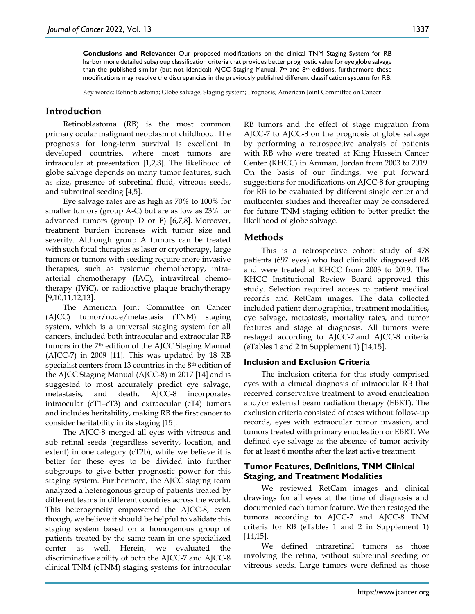**Conclusions and Relevance:** Our proposed modifications on the clinical TNM Staging System for RB harbor more detailed subgroup classification criteria that provides better prognostic value for eye globe salvage than the published similar (but not identical) AJCC Staging Manual, 7<sup>th</sup> and 8<sup>th</sup> editions, furthermore these modifications may resolve the discrepancies in the previously published different classification systems for RB.

Key words: Retinoblastoma; Globe salvage; Staging system; Prognosis; American Joint Committee on Cancer

## **Introduction**

Retinoblastoma (RB) is the most common primary ocular malignant neoplasm of childhood. The prognosis for long-term survival is excellent in developed countries, where most tumors are intraocular at presentation [1,2,3]. The likelihood of globe salvage depends on many tumor features, such as size, presence of subretinal fluid, vitreous seeds, and subretinal seeding [4,5].

Eye salvage rates are as high as 70% to 100% for smaller tumors (group A-C) but are as low as 23% for advanced tumors (group D or E) [6,7,8]. Moreover, treatment burden increases with tumor size and severity. Although group A tumors can be treated with such focal therapies as laser or cryotherapy, large tumors or tumors with seeding require more invasive therapies, such as systemic chemotherapy, intraarterial chemotherapy (IAC), intravitreal chemotherapy (IViC), or radioactive plaque brachytherapy [9,10,11,12,13].

The American Joint Committee on Cancer (AJCC) tumor/node/metastasis (TNM) staging system, which is a universal staging system for all cancers, included both intraocular and extraocular RB tumors in the 7<sup>th</sup> edition of the AJCC Staging Manual (AJCC-7) in 2009 [11]. This was updated by 18 RB specialist centers from 13 countries in the 8<sup>th</sup> edition of the AJCC Staging Manual (AJCC-8) in 2017 [14] and is suggested to most accurately predict eye salvage, metastasis, and death. AJCC-8 incorporates intraocular (cT1–cT3) and extraocular (cT4) tumors and includes heritability, making RB the first cancer to consider heritability in its staging [15].

The AJCC-8 merged all eyes with vitreous and sub retinal seeds (regardless severity, location, and extent) in one category (cT2b), while we believe it is better for these eyes to be divided into further subgroups to give better prognostic power for this staging system. Furthermore, the AJCC staging team analyzed a heterogonous group of patients treated by different teams in different countries across the world. This heterogeneity empowered the AJCC-8, even though, we believe it should be helpful to validate this staging system based on a homogenous group of patients treated by the same team in one specialized center as well. Herein, we evaluated the discriminative ability of both the AJCC-7 and AJCC-8 clinical TNM (cTNM) staging systems for intraocular RB tumors and the effect of stage migration from AJCC-7 to AJCC-8 on the prognosis of globe salvage by performing a retrospective analysis of patients with RB who were treated at King Hussein Cancer Center (KHCC) in Amman, Jordan from 2003 to 2019. On the basis of our findings, we put forward suggestions for modifications on AJCC-8 for grouping for RB to be evaluated by different single center and multicenter studies and thereafter may be considered for future TNM staging edition to better predict the likelihood of globe salvage.

## **Methods**

This is a retrospective cohort study of 478 patients (697 eyes) who had clinically diagnosed RB and were treated at KHCC from 2003 to 2019. The KHCC Institutional Review Board approved this study. Selection required access to patient medical records and RetCam images. The data collected included patient demographics, treatment modalities, eye salvage, metastasis, mortality rates, and tumor features and stage at diagnosis. All tumors were restaged according to AJCC-7 and AJCC-8 criteria (eTables 1 and 2 in Supplement 1) [14,15].

## **Inclusion and Exclusion Criteria**

The inclusion criteria for this study comprised eyes with a clinical diagnosis of intraocular RB that received conservative treatment to avoid enucleation and/or external beam radiation therapy (EBRT). The exclusion criteria consisted of cases without follow-up records, eyes with extraocular tumor invasion, and tumors treated with primary enucleation or EBRT. We defined eye salvage as the absence of tumor activity for at least 6 months after the last active treatment.

## **Tumor Features, Definitions, TNM Clinical Staging, and Treatment Modalities**

We reviewed RetCam images and clinical drawings for all eyes at the time of diagnosis and documented each tumor feature. We then restaged the tumors according to AJCC-7 and AJCC-8 TNM criteria for RB (eTables 1 and 2 in Supplement 1) [14,15].

We defined intraretinal tumors as those involving the retina, without subretinal seeding or vitreous seeds. Large tumors were defined as those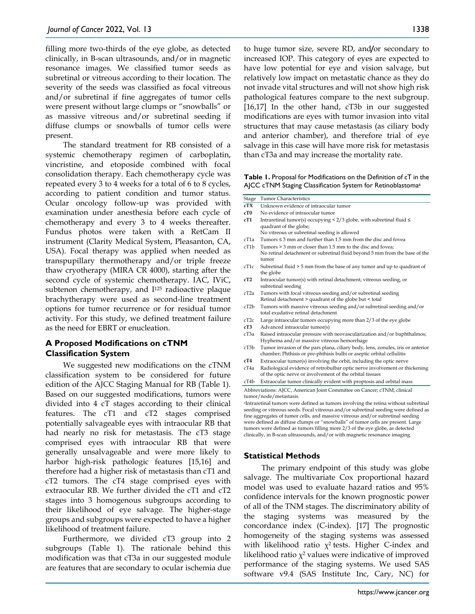filling more two-thirds of the eye globe, as detected clinically, in B-scan ultrasounds, and/or in magnetic resonance images. We classified tumor seeds as subretinal or vitreous according to their location. The severity of the seeds was classified as focal vitreous and/or subretinal if fine aggregates of tumor cells were present without large clumps or "snowballs" or as massive vitreous and/or subretinal seeding if diffuse clumps or snowballs of tumor cells were present.

The standard treatment for RB consisted of a systemic chemotherapy regimen of carboplatin, vincristine, and etoposide combined with focal consolidation therapy. Each chemotherapy cycle was repeated every 3 to 4 weeks for a total of 6 to 8 cycles, according to patient condition and tumor status. Ocular oncology follow-up was provided with examination under anesthesia before each cycle of chemotherapy and every 3 to 4 weeks thereafter. Fundus photos were taken with a RetCam II instrument (Clarity Medical System, Pleasanton, CA, USA). Focal therapy was applied when needed as transpupillary thermotherapy and/or triple freeze thaw cryotherapy (MIRA CR 4000), starting after the second cycle of systemic chemotherapy. IAC, IViC, subtenon chemotherapy, and  $I^{125}$  radioactive plaque brachytherapy were used as second-line treatment options for tumor recurrence or for residual tumor activity. For this study, we defined treatment failure as the need for EBRT or enucleation.

## **A Proposed Modifications on cTNM Classification System**

We suggested new modifications on the cTNM classification system to be considered for future edition of the AJCC Staging Manual for RB (Table 1). Based on our suggested modifications, tumors were divided into 4 cT stages according to their clinical features. The cT1 and cT2 stages comprised potentially salvageable eyes with intraocular RB that had nearly no risk for metastasis. The cT3 stage comprised eyes with intraocular RB that were generally unsalvageable and were more likely to harbor high-risk pathologic features [15,16] and therefore had a higher risk of metastasis than cT1 and cT2 tumors. The cT4 stage comprised eyes with extraocular RB. We further divided the cT1 and cT2 stages into 3 homogenous subgroups according to their likelihood of eye salvage. The higher-stage groups and subgroups were expected to have a higher likelihood of treatment failure.

Furthermore, we divided cT3 group into 2 subgroups (Table 1). The rationale behind this modification was that cT3a in our suggested module are features that are secondary to ocular ischemia due to huge tumor size, severe RD, and**/**or secondary to increased IOP. This category of eyes are expected to have low potential for eye and vision salvage, but relatively low impact on metastatic chance as they do not invade vital structures and will not show high risk pathological features compare to the next subgroup. [16,17] In the other hand, cT3b in our suggested modifications are eyes with tumor invasion into vital structures that may cause metastasis (as ciliary body and anterior chamber), and therefore trial of eye salvage in this case will have more risk for metastasis than cT3a and may increase the mortality rate.

**Table 1.** Proposal for Modifications on the Definition of cT in the AJCC cTNM Staging Classification System for Retinoblastomaa

- Stage Tumor Characteristics **cTX** Unknown evidence of intraocular tumor
- **cT0** No evidence of intraocular tumor
- **cT1** Intraretinal tumor(s) occupying < 2/3 globe, with subretinal fluid ≤ quadrant of the globe;
- No vitreous or subretinal seeding is allowed
- cT1a Tumors ≤ 3 mm and further than 1.5 mm from the disc and fovea
- cT1b Tumors > 3 mm or closer than 1.5 mm to the disc and fovea; No retinal detachment or subretinal fluid beyond 5 mm from the base of the tumor
- cT1c Subretinal fluid > 5 mm from the base of any tumor and up to quadrant of the globe
- **cT2** Intraocular tumor(s) with retinal detachment, vitreous seeding, or subretinal seeding
- cT2a Tumors with focal vitreous seeding and/or subretinal seeding Retinal detachment > quadrant of the globe but < total
- cT2b Tumors with massive vitreous seeding and/or subretinal seeding and/or total exudative retinal detachment
- cT2c Large intraocular tumors occupying more than 2/3 of the eye globe
- **cT3** Advanced intraocular tumor(s)
- cT3a Raised intraocular pressure with neovascularization and/or buphthalmos; Hyphema and/or massive vitreous hemorrhage
- cT3b Tumor invasion of the pars plana, ciliary body, lens, zonules, iris or anterior chamber; Phthisis or pre-phthisis bulbi or aseptic orbital cellulitis
- **cT4** Extraocular tumor(s) involving the orbit, including the optic nerve
- cT4a Radiological evidence of retrobulbar optic nerve involvement or thickening of the optic nerve or involvement of the orbital tissues

cT4b Extraocular tumor clinically evident with proptosis and orbital mass Abbreviations: AJCC, American Joint Committee on Cancer; cTNM, clinical

tumor/node/metastasis. aIntraretinal tumors were defined as tumors involving the retina without subretinal seeding or vitreous seeds. Focal vitreous and/or subretinal seeding were defined as fine aggregates of tumor cells, and massive vitreous and/or subretinal seeding

were defined as diffuse clumps or "snowballs" of tumor cells are present. Large tumors were defined as tumors filling more 2/3 of the eye globe, as detected clinically, in B-scan ultrasounds, and/or with magnetic resonance imaging.

# **Statistical Methods**

The primary endpoint of this study was globe salvage. The multivariate Cox proportional hazard model was used to evaluate hazard ratios and 95% confidence intervals for the known prognostic power of all of the TNM stages. The discriminatory ability of the staging systems was measured by the concordance index (C-index). [17] The prognostic homogeneity of the staging systems was assessed with likelihood ratio  $\chi^2$  tests. Higher C-index and likelihood ratio  $\chi^2$  values were indicative of improved performance of the staging systems. We used SAS software v9.4 (SAS Institute Inc, Cary, NC) for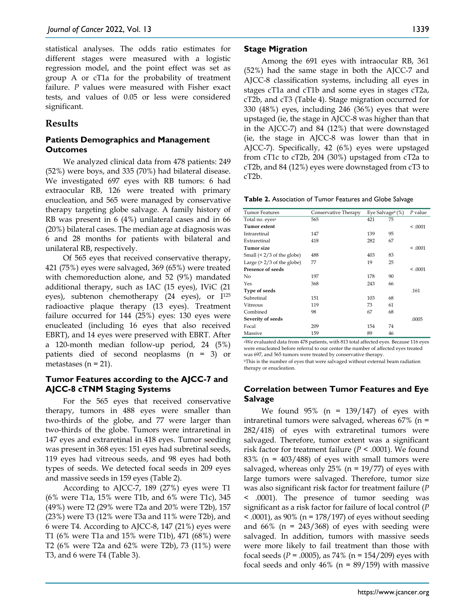statistical analyses. The odds ratio estimates for different stages were measured with a logistic regression model, and the point effect was set as group A or cT1a for the probability of treatment failure. *P* values were measured with Fisher exact tests, and values of 0.05 or less were considered significant.

## **Results**

## **Patients Demographics and Management Outcomes**

We analyzed clinical data from 478 patients: 249 (52%) were boys, and 335 (70%) had bilateral disease. We investigated 697 eyes with RB tumors: 6 had extraocular RB, 126 were treated with primary enucleation, and 565 were managed by conservative therapy targeting globe salvage. A family history of RB was present in 6 (4%) unilateral cases and in 66 (20%) bilateral cases. The median age at diagnosis was 6 and 28 months for patients with bilateral and unilateral RB, respectively.

Of 565 eyes that received conservative therapy, 421 (75%) eyes were salvaged, 369 (65%) were treated with chemoreduction alone, and 52 (9%) mandated additional therapy, such as IAC (15 eyes), IViC (21 eyes), subtenon chemotherapy (24 eyes), or I125 radioactive plaque therapy (13 eyes). Treatment failure occurred for 144 (25%) eyes: 130 eyes were enucleated (including 16 eyes that also received EBRT), and 14 eyes were preserved with EBRT. After a 120-month median follow-up period, 24 (5%) patients died of second neoplasms (n = 3) or metastases ( $n = 21$ ).

## **Tumor Features according to the AJCC-7 and AJCC-8 cTNM Staging Systems**

For the 565 eyes that received conservative therapy, tumors in 488 eyes were smaller than two-thirds of the globe, and 77 were larger than two-thirds of the globe. Tumors were intraretinal in 147 eyes and extraretinal in 418 eyes. Tumor seeding was present in 368 eyes: 151 eyes had subretinal seeds, 119 eyes had vitreous seeds, and 98 eyes had both types of seeds. We detected focal seeds in 209 eyes and massive seeds in 159 eyes (Table 2).

According to AJCC-7, 189 (27%) eyes were T1 (6% were T1a, 15% were T1b, and 6% were T1c), 345 (49%) were T2 (29% were T2a and 20% were T2b), 157 (23%) were T3 (12% were T3a and 11% were T2b), and 6 were T4. According to AJCC-8, 147 (21%) eyes were T1 (6% were T1a and 15% were T1b), 471 (68%) were T2 (6% were T2a and 62% were T2b), 73 (11%) were T3, and 6 were T4 (Table 3).

## **Stage Migration**

Among the 691 eyes with intraocular RB, 361 (52%) had the same stage in both the AJCC-7 and AJCC-8 classification systems, including all eyes in stages cT1a and cT1b and some eyes in stages cT2a, cT2b, and cT3 (Table 4). Stage migration occurred for 330 (48%) eyes, including 246 (36%) eyes that were upstaged (ie, the stage in AJCC-8 was higher than that in the AJCC-7) and 84 (12%) that were downstaged (ie, the stage in AJCC-8 was lower than that in AJCC-7). Specifically, 42 (6%) eyes were upstaged from cT1c to cT2b, 204 (30%) upstaged from cT2a to cT2b, and 84 (12%) eyes were downstaged from cT3 to cT2b.

**Table 2.** Association of Tumor Features and Globe Salvage

| <b>Tumor Features</b>           | Conservative Therapy | Eye Salvageb (%) |    | $P$ value |
|---------------------------------|----------------------|------------------|----|-----------|
| Total no. eyes <sup>a</sup>     | 565                  | 421              | 75 |           |
| Tumor extent                    |                      |                  |    | < 0.0001  |
| Intraretinal                    | 147                  | 139              | 95 |           |
| Extraretinal                    | 418                  | 282              | 67 |           |
| Tumor size                      |                      |                  |    | < 0.0001  |
| Small $($ < $2/3$ of the globe) | 488                  | 403              | 83 |           |
| Large $($ > 2/3 of the globe)   | 77                   | 19               | 25 |           |
| Presence of seeds               |                      |                  |    | < 0.0001  |
| No                              | 197                  | 178              | 90 |           |
| Yes                             | 368                  | 243              | 66 |           |
| Type of seeds                   |                      |                  |    | .161      |
| Subretinal                      | 151                  | 103              | 68 |           |
| Vitreous                        | 119                  | 73               | 61 |           |
| Combined                        | 98                   | 67               | 68 |           |
| Severity of seeds               |                      |                  |    | .0005     |
| Focal                           | 209                  | 154              | 74 |           |
| Massive                         | 159                  | 89               | 46 |           |

aWe evaluated data from 478 patients, with 813 total affected eyes. Because 116 eyes were enucleated before referral to our center the number of affected eyes treated was 697, and 565 tumors were treated by conservative therapy. bThis is the number of eyes that were salvaged without external beam radiation

therapy or enucleation.

## **Correlation between Tumor Features and Eye Salvage**

We found  $95\%$  (n = 139/147) of eyes with intraretinal tumors were salvaged, whereas  $67\%$  (n = 282/418) of eyes with extraretinal tumors were salvaged. Therefore, tumor extent was a significant risk factor for treatment failure ( $P < .0001$ ). We found 83% ( $n = 403/488$ ) of eyes with small tumors were salvaged, whereas only  $25%$  (n = 19/77) of eyes with large tumors were salvaged. Therefore, tumor size was also significant risk factor for treatment failure (*P*  < .0001). The presence of tumor seeding was significant as a risk factor for failure of local control (*P <* .0001), as 90% (n = 178/197) of eyes without seeding and  $66\%$  (n = 243/368) of eyes with seeding were salvaged. In addition, tumors with massive seeds were more likely to fail treatment than those with focal seeds (*P* = .0005), as 74% (n = 154/209) eyes with focal seeds and only  $46\%$  (n =  $89/159$ ) with massive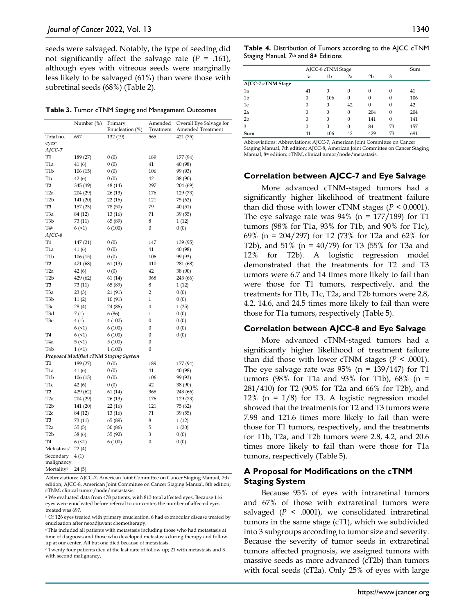seeds were salvaged. Notably, the type of seeding did not significantly affect the salvage rate  $(P = .161)$ , although eyes with vitreous seeds were marginally less likely to be salvaged (61%) than were those with subretinal seeds (68%) (Table 2).

| Table 3. Tumor cTNM Staging and Management Outcomes |  |
|-----------------------------------------------------|--|
|-----------------------------------------------------|--|

|                         | Number (%) | Primary                               | Amended          | Overall Eye Salvage for |
|-------------------------|------------|---------------------------------------|------------------|-------------------------|
|                         |            | Enucleation (%)                       | Treatment        | Amended Treatment       |
| Total no.               | 697        | 132 (19)                              | 565              | 421 (75)                |
| eyes <sup>a</sup>       |            |                                       |                  |                         |
| AJCC-7                  |            |                                       |                  |                         |
| <b>T1</b>               | 189 (27)   | 0(0)                                  | 189              | 177 (94)                |
| T <sub>1</sub> a        | 41(6)      | 0(0)                                  | 41               | 40 (98)                 |
| T <sub>1</sub> b        | 106(15)    | 0(0)                                  | 106              | 99 (93)                 |
| T <sub>1</sub> c        | 42(6)      | 0(0)                                  | 42               | 38 (90)                 |
| T <sub>2</sub>          | 345 (49)   | 48 (14)                               | 297              | 204 (69)                |
| T <sub>2</sub> a        | 204 (29)   | 26 (13)                               | 176              | 129 (73)                |
| T <sub>2</sub> b        | 141 (20)   | 22(16)                                | 121              | 75 (62)                 |
| T3                      | 157 (23)   | 78 (50)                               | 79               | 40 (51)                 |
| T <sub>3</sub> a        | 84 (12)    | 13 (16)                               | 71               | 39 (55)                 |
| T <sub>3</sub> b        | 73 (11)    | 65 (89)                               | 8                | 1(12)                   |
| T4b                     | 6(1)       | 6 (100)                               | 0                | 0(0)                    |
| $A$ <sub>I</sub> CC-8   |            |                                       |                  |                         |
| <b>T1</b>               | 147 (21)   | 0(0)                                  | 147              | 139 (95)                |
| T <sub>1</sub> a        | 41(6)      | 0(0)                                  | 41               | 40 (98)                 |
| T <sub>1</sub> b        | 106(15)    | 0(0)                                  | 106              | 99 (93)                 |
| T <sub>2</sub>          | 471 (68)   | 61 (13)                               | 410              | 281 (68)                |
| T <sub>2</sub> a        | 42(6)      | 0(0)                                  | 42               | 38 (90)                 |
| T <sub>2</sub> b        | 429 (62)   | 61 (14)                               | 368              | 243 (66)                |
| T <sub>3</sub>          | 73 (11)    | 65 (89)                               | 8                | 1(12)                   |
| T <sub>3</sub> a        | 23(3)      | 21 (91)                               | $\overline{2}$   | 0(0)                    |
| T <sub>3</sub> b        | 11(2)      | 10 (91)                               | $\mathbf{1}$     | 0(0)                    |
| T3c                     | 28(4)      | 24 (86)                               | 4                | 1(25)                   |
| T3d                     | 7(1)       | 6 (86)                                | 1                | 0(0)                    |
| T3e                     | 4(1)       | 4(100)                                | 0                | 0(0)                    |
|                         | 6(1)       | 6(100)                                | 0                | 0(0)                    |
| Т4                      | 6(1)       | 6(100)                                | 0                | 0(0)                    |
| T <sub>4</sub> a        | 5(1)       | 5(100)                                | 0                |                         |
| T <sub>4</sub> b        | 1(1)       | 1(100)                                | $\boldsymbol{0}$ |                         |
|                         |            | Proposed Modified cTNM Staging System |                  |                         |
| T1                      | 189 (27)   | 0(0)                                  | 189              | 177 (94)                |
| T1a                     | 41(6)      | 0(0)                                  | 41               | 40 (98)                 |
| T <sub>1</sub> b        | 106(15)    | 0(0)                                  | 106              | 99 (93)                 |
| T <sub>1</sub> c        | 42(6)      |                                       | 42               | 38 (90)                 |
| T2                      |            | 0(0)                                  |                  |                         |
|                         | 429 (62)   | 61 (14)                               | 368              | 243 (66)                |
| T <sub>2</sub> a        | 204 (29)   | 26 (13)                               | 176              | 129 (73)                |
| T <sub>2</sub> b        | 141 (20)   | 22(16)                                | 121              | 75 (62)                 |
| T <sub>2c</sub>         | 84 (12)    | 13 (16)                               | 71               | 39 (55)                 |
| T3                      | 73 (11)    | 65 (89)                               | 8                | 1(12)                   |
| T <sub>2</sub> a        | 35(5)      | 30 (86)                               | 5                | 1(20)                   |
| T <sub>2</sub> b        | 38(6)      | 35 (92)                               | 3                | 0(0)                    |
| T4                      | 6(1)       | 6 (100)                               | 0                | 0(0)                    |
| Metastasisc             | 22(4)      |                                       |                  |                         |
| Secondary<br>malignancy | 4(1)       |                                       |                  |                         |

Mortalityd 24 (5)

Abbreviations: AJCC-7, American Joint Committee on Cancer Staging Manual, 7th edition; AJCC-8, American Joint Committee on Cancer Staging Manual, 8th edition; cTNM, clinical tumor/node/metastasis.

<sup>a</sup> We evaluated data from 478 patients, with 813 total affected eyes. Because 116 eyes were enucleated before referral to our center, the number of affected eyes treated was 697.

<sup>b</sup> Of 126 eyes treated with primary enucleation, 6 had extraocular disease treated by enucleation after neoadjuvant chemotherapy.

c This included all patients with metastasis including those who had metastasis at time of diagnosis and those who developed metastasis during therapy and follow up at our center. All but one died because of metastasis.

d Twenty four patients died at the last date of follow up; 21 with metastasis and 3 with second malignancy.

**Table 4.** Distribution of Tumors according to the AJCC cTNM Staging Manual, 7<sup>th</sup> and 8<sup>th</sup> Editions

|                   | AJCC-8 cTNM Stage |              |    |                |              | Sum |
|-------------------|-------------------|--------------|----|----------------|--------------|-----|
|                   | 1a                | 1b           | 2a | 2 <sub>b</sub> | 3            |     |
| AJCC-7 cTNM Stage |                   |              |    |                |              |     |
| 1a                | 41                | $\mathbf{0}$ | 0  | $\mathbf{0}$   | $\Omega$     | 41  |
| 1 <sub>b</sub>    | 0                 | 106          | 0  | 0              | $\mathbf{0}$ | 106 |
| 1c                | 0                 | $\mathbf{0}$ | 42 | $\mathbf{0}$   | $\mathbf{0}$ | 42  |
| 2a                | 0                 | $\mathbf{0}$ | 0  | 204            | $\Omega$     | 204 |
| 2 <sub>b</sub>    | 0                 | 0            | 0  | 141            | $\Omega$     | 141 |
| 3                 | 0                 | $\mathbf{0}$ | 0  | 84             | 73           | 157 |
| Sum               | 41                | 106          | 42 | 429            | 73           | 691 |

Abbreviations: Abbreviations: AJCC-7, American Joint Committee on Cancer Staging Manual, 7th edition; AJCC-8, American Joint Committee on Cancer Staging Manual, 8<sup>th</sup> edition; cTNM, clinical tumor/node/metastasis.

#### **Correlation between AJCC-7 and Eye Salvage**

More advanced cTNM-staged tumors had a significantly higher likelihood of treatment failure than did those with lower cTNM stages  $(P < 0.0001)$ . The eye salvage rate was  $94\%$  (n = 177/189) for T1 tumors (98% for T1a, 93% for T1b, and 90% for T1c), 69% (n = 204/297) for T2 (73% for T2a and 62% for T2b), and 51% (n = 40/79) for T3 (55% for T3a and 12% for T2b). A logistic regression model demonstrated that the treatments for T2 and T3 tumors were 6.7 and 14 times more likely to fail than were those for T1 tumors, respectively, and the treatments for T1b, T1c, T2a, and T2b tumors were 2.8, 4.2, 14.6, and 24.5 times more likely to fail than were those for T1a tumors, respectively (Table 5).

#### **Correlation between AJCC-8 and Eye Salvage**

More advanced cTNM-staged tumors had a significantly higher likelihood of treatment failure than did those with lower cTNM stages  $(P < .0001)$ . The eye salvage rate was  $95\%$  (n = 139/147) for T1 tumors (98% for T1a and 93% for T1b), 68% (n = 281/410) for T2 (90% for T2a and 66% for T2b), and 12% ( $n = 1/8$ ) for T3. A logistic regression model showed that the treatments for T2 and T3 tumors were 7.98 and 121.6 times more likely to fail than were those for T1 tumors, respectively, and the treatments for T1b, T2a, and T2b tumors were 2.8, 4.2, and 20.6 times more likely to fail than were those for T1a tumors, respectively (Table 5).

## **A Proposal for Modifications on the cTNM Staging System**

Because 95% of eyes with intraretinal tumors and 67% of those with extraretinal tumors were salvaged  $(P \le .0001)$ , we consolidated intraretinal tumors in the same stage (cT1), which we subdivided into 3 subgroups according to tumor size and severity. Because the severity of tumor seeds in extraretinal tumors affected prognosis, we assigned tumors with massive seeds as more advanced (cT2b) than tumors with focal seeds (cT2a). Only 25% of eyes with large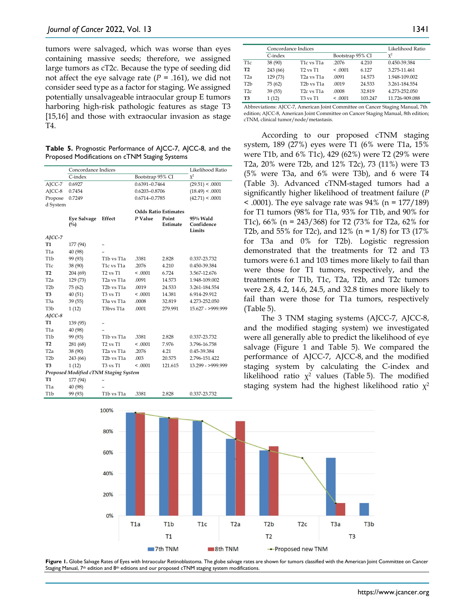tumors were salvaged, which was worse than eyes containing massive seeds; therefore, we assigned large tumors as cT2c. Because the type of seeding did not affect the eye salvage rate  $(P = .161)$ , we did not consider seed type as a factor for staging. We assigned potentially unsalvageable intraocular group E tumors harboring high-risk pathologic features as stage T3 [15,16] and those with extraocular invasion as stage T4.

**Table 5.** Prognostic Performance of AJCC-7, AJCC-8, and the Proposed Modifications on cTNM Staging Systems

|                                       | Concordance Indices |                                      |                             |          | Likelihood Ratio     |  |
|---------------------------------------|---------------------|--------------------------------------|-----------------------------|----------|----------------------|--|
|                                       | C-index             |                                      | Bootstrap 95% CI            |          | $\chi^2$             |  |
| AJCC-7                                | 0.6927              |                                      | 0.6391-0.7464               |          | (29.51) < .0001      |  |
| AJCC-8                                | 0.7454              |                                      | 0.6203-0.8706               |          | (18.49) < .0001      |  |
| Propose                               | 0.7249              |                                      | 0.6714-0.7785               |          | (42.71) < .0001      |  |
| d System                              |                     |                                      |                             |          |                      |  |
|                                       |                     |                                      | <b>Odds Ratio Estimates</b> |          |                      |  |
|                                       | <b>Eye Salvage</b>  | Effect                               | P Value                     | Point    | $95\%$ Wald          |  |
|                                       | $(^{0}/_{0})$       |                                      |                             | Estimate | Confidence<br>Limits |  |
| $A$ <sub>I</sub> CC-7                 |                     |                                      |                             |          |                      |  |
| T1                                    | 177 (94)            |                                      |                             |          |                      |  |
| T <sub>1</sub> a                      | 40 (98)             |                                      |                             |          |                      |  |
| T <sub>1</sub> b                      | 99 (93)             | T1b vs T1a                           | .3381                       | 2.828    | 0.337-23.732         |  |
| T <sub>1c</sub>                       | 38 (90)             | T1c vs T1a                           | .2076                       | 4.210    | 0.450-39.384         |  |
| T <sub>2</sub>                        | 204(69)             | $T2$ vs $T1$                         | < 0.001                     | 6.724    | 3.567-12.676         |  |
| T <sub>2</sub> a                      | 129 (73)            | T <sub>2</sub> a vs T <sub>1</sub> a | .0091                       | 14.573   | 1.948-109.002        |  |
| T <sub>2</sub> h                      | 75 (62)             | T <sub>2</sub> b vs T <sub>1</sub> a | .0019                       | 24.533   | 3.261-184.554        |  |
| T <sub>3</sub>                        | 40(51)              | T <sub>3</sub> vs T <sub>1</sub>     | < 0.0001                    | 14.381   | 6.914-29.912         |  |
| T3a                                   | 39(55)              | T <sub>3</sub> a vs T <sub>1</sub> a | .0008                       | 32.819   | 4.273-252.050        |  |
| T <sub>3</sub> b                      | 1(12)               | T3bvs T1a                            | .0001                       | 279.991  | 15.627 - >999.999    |  |
| $A$ <sub>I</sub> CC-8                 |                     |                                      |                             |          |                      |  |
| T1                                    | 139 (95)            |                                      |                             |          |                      |  |
| T <sub>1</sub> a                      | 40 (98)             |                                      |                             |          |                      |  |
| T <sub>1</sub> b                      | 99 (93)             | T1b vs T1a                           | .3381                       | 2.828    | 0.337-23.732         |  |
| T <sub>2</sub>                        | 281 (68)            | $T2$ vs $T1$                         | < 0.0001                    | 7.976    | 3.796-16.758         |  |
| T <sub>2</sub> a                      | 38 (90)             | T <sub>2</sub> a vs T <sub>1</sub> a | .2076                       | 4.21     | 0.45-39.384          |  |
| T <sub>2</sub> b                      | 243 (66)            | T <sub>2</sub> b vs T <sub>1</sub> a | .003                        | 20.575   | 2.796-151.422        |  |
| T <sub>3</sub>                        | 1(12)               | <b>T3 vs T1</b>                      | < 0.0001                    | 121.615  | 13.299 - > 999.999   |  |
| Proposed Modified cTNM Staging System |                     |                                      |                             |          |                      |  |
| <b>T1</b>                             | 177 (94)            |                                      |                             |          |                      |  |
| T <sub>1</sub> a                      | 40 (98)             |                                      |                             |          |                      |  |
| T <sub>1</sub> b                      | 99 (93)             | T1b vs T1a                           | .3381                       | 2.828    | 0.337-23.732         |  |

|                  | Concordance Indices | Likelihood Ratio                     |                  |         |                |
|------------------|---------------------|--------------------------------------|------------------|---------|----------------|
|                  | C-index             |                                      | Bootstrap 95% CI |         | $\chi^2$       |
| T1c              | 38 (90)             | T1c vs T1a                           | .2076            | 4.210   | 0.450-39.384   |
| T <sub>2</sub>   | 243 (66)            | T <sub>2</sub> vs T <sub>1</sub>     | < 0.0001         | 6.127   | 3.275-11.461   |
| T <sub>2</sub> a | 129 (73)            | T2a vs T1a                           | .0091            | 14.573  | 1.948-109.002  |
| T <sub>2</sub> b | 75 (62)             | T <sub>2</sub> b vs T <sub>1</sub> a | .0019            | 24.533  | 3.261-184.554  |
| T <sub>2c</sub>  | 39(55)              | T <sub>2</sub> c vs T <sub>1</sub> a | .0008            | 32.819  | 4.273-252.050  |
| T3               | 1(12)               | T3 vs T1                             | < 0.0001         | 103.247 | 11.726-909.088 |

Abbreviations: AJCC-7, American Joint Committee on Cancer Staging Manual, 7th edition; AJCC-8, American Joint Committee on Cancer Staging Manual, 8th edition; cTNM, clinical tumor/node/metastasis.

According to our proposed cTNM staging system, 189 (27%) eyes were T1 (6% were T1a, 15% were T1b, and 6% T1c), 429 (62%) were T2 (29% were T2a, 20% were T2b, and 12% T2c), 73 (11%) were T3 (5% were T3a, and 6% were T3b), and 6 were T4 (Table 3). Advanced cTNM-staged tumors had a significantly higher likelihood of treatment failure (*P* < .0001). The eye salvage rate was 94% (n = 177/189) for T1 tumors (98% for T1a, 93% for T1b, and 90% for T1c), 66% (n = 243/368) for T2 (73% for T2a, 62% for T2b, and 55% for T2c), and 12% (n =  $1/8$ ) for T3 (17% for T3a and 0% for T2b). Logistic regression demonstrated that the treatments for T2 and T3 tumors were 6.1 and 103 times more likely to fail than were those for T1 tumors, respectively, and the treatments for T1b, T1c, T2a, T2b, and T2c tumors were 2.8, 4.2, 14.6, 24.5, and 32.8 times more likely to fail than were those for T1a tumors, respectively (Table 5).

The 3 TNM staging systems (AJCC-7, AJCC-8, and the modified staging system) we investigated were all generally able to predict the likelihood of eye salvage (Figure 1 and Table 5). We compared the performance of AJCC-7, AJCC-8, and the modified staging system by calculating the C-index and likelihood ratio  $\chi^2$  values (Table 5). The modified staging system had the highest likelihood ratio  $\chi^2$ 



**Figure 1.** Globe Salvage Rates of Eyes with Intraocular Retinoblastoma. The globe salvage rates are shown for tumors classified with the American Joint Committee on Cancer Staging Manual,  $7<sup>th</sup>$  edition and  $8<sup>th</sup>$  editions and our proposed cTNM staging system modifications.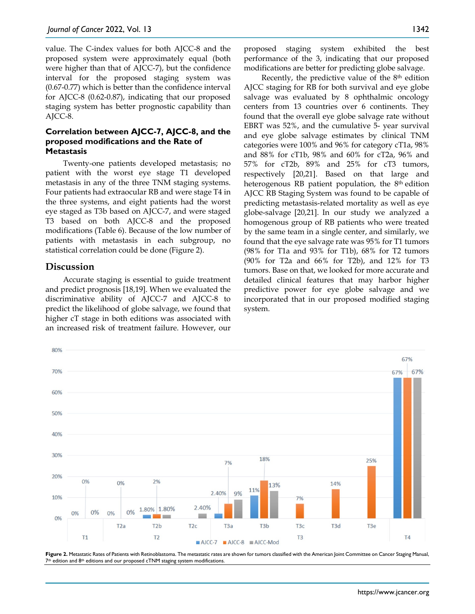value. The C-index values for both AJCC-8 and the proposed system were approximately equal (both were higher than that of AJCC-7), but the confidence interval for the proposed staging system was (0.67-0.77) which is better than the confidence interval for AJCC-8 (0.62-0.87), indicating that our proposed staging system has better prognostic capability than AJCC-8.

## **Correlation between AJCC-7, AJCC-8, and the proposed modifications and the Rate of Metastasis**

Twenty-one patients developed metastasis; no patient with the worst eye stage T1 developed metastasis in any of the three TNM staging systems. Four patients had extraocular RB and were stage T4 in the three systems, and eight patients had the worst eye staged as T3b based on AJCC-7, and were staged T3 based on both AJCC-8 and the proposed modifications (Table 6). Because of the low number of patients with metastasis in each subgroup, no statistical correlation could be done (Figure 2).

## **Discussion**

Accurate staging is essential to guide treatment and predict prognosis [18,19]. When we evaluated the discriminative ability of AJCC-7 and AJCC-8 to predict the likelihood of globe salvage, we found that higher cT stage in both editions was associated with an increased risk of treatment failure. However, our proposed staging system exhibited the best performance of the 3, indicating that our proposed modifications are better for predicting globe salvage.

Recently, the predictive value of the 8th edition AJCC staging for RB for both survival and eye globe salvage was evaluated by 8 ophthalmic oncology centers from 13 countries over 6 continents. They found that the overall eye globe salvage rate without EBRT was 52%, and the cumulative 5- year survival and eye globe salvage estimates by clinical TNM categories were 100% and 96% for category cT1a, 98% and 88% for cT1b, 98% and 60% for cT2a, 96% and 57% for cT2b, 89% and 25% for cT3 tumors, respectively [20,21]. Based on that large and heterogenous RB patient population, the 8<sup>th</sup> edition AJCC RB Staging System was found to be capable of predicting metastasis-related mortality as well as eye globe-salvage [20,21]. In our study we analyzed a homogenous group of RB patients who were treated by the same team in a single center, and similarly, we found that the eye salvage rate was 95% for T1 tumors (98% for T1a and 93% for T1b), 68% for T2 tumors (90% for T2a and 66% for T2b), and 12% for T3 tumors. Base on that, we looked for more accurate and detailed clinical features that may harbor higher predictive power for eye globe salvage and we incorporated that in our proposed modified staging system.



**Figure 2.** Metastatic Rates of Patients with Retinoblastoma. The metastatic rates are shown for tumors classified with the American Joint Committee on Cancer Staging Manual, 7th edition and 8th editions and our proposed cTNM staging system modifications.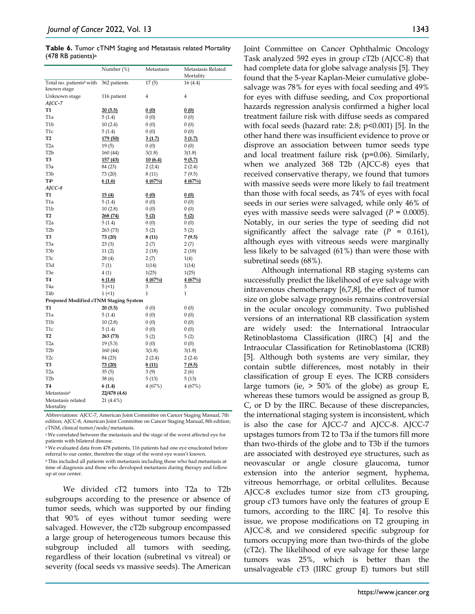**Table 6.** Tumor cTNM Staging and Metastasis related Mortality (478 RB patients)a

|                                       | Number (%)   | Metastasis   | Metastasis Related<br>Mortality |
|---------------------------------------|--------------|--------------|---------------------------------|
| Total no. patients <sup>b</sup> with  | 362 patients | 17(5)        | 16(4.4)                         |
| known stage                           |              |              |                                 |
| Unknown stage                         | 116 patient  | 4            | $\bf{4}$                        |
| AJCC-7                                |              |              |                                 |
| <b>T1</b>                             | 20(5.5)      | 0(0)         | 0(0)                            |
| T <sub>1</sub> a                      | 5(1.4)       | 0(0)         | 0(0)                            |
| T <sub>1</sub> b                      | 10(2.4)      | 0(0)         | 0(0)                            |
| T <sub>1c</sub>                       | 5(1.4)       | 0(0)         | 0(0)                            |
| T <sub>2</sub>                        | 179 (50)     | 3(1.7)       | 3(1.7)                          |
| T <sub>2</sub> a                      | 19(5)        | 0(0)         | 0(0)                            |
| T <sub>2</sub> b                      | 160(44)      | 3(1.8)       | 3(1.8)                          |
| T3                                    | 157(43)      | 10(6.4)      | 9(5.7)                          |
| ТЗа                                   | 84 (23)      | 2(2.4)       | 2(2.4)                          |
| T3b                                   | 73 (20)      | 8(11)        | 7(9.5)                          |
| T <sub>4</sub> b                      | 6(1.6)       | $4(67\%)$    | $4(67\%)$                       |
| $A$ <sub>I</sub> CC-8                 |              |              |                                 |
| <b>T1</b>                             | 15(4)        | 0(0)         | 0(0)                            |
| T1a                                   | 5(1.4)       | 0(0)         | 0(0)                            |
| T <sub>1</sub> b                      | 10(2.8)      | 0(0)         | 0(0)                            |
| T2                                    | 268 (74)     | 5(2)         | 5(2)                            |
| T <sub>2</sub> a                      | 5(1.4)       | 0(0)         | 0(0)                            |
| T <sub>2</sub> b                      | 263(73)      | 5(2)         | 5(2)                            |
| T <sub>3</sub>                        | 73 (20)      | 8 (11)       | 7(9.5)                          |
| ТЗа                                   | 23(3)        | 2(7)         | 2(7)                            |
| T <sub>3</sub> b                      | 11(2)        | 2(18)        | 2(18)                           |
| T3c                                   | 28(4)        | 2(7)         | 1(4)                            |
| T3d                                   | 7(1)         | 1(14)        | 1(14)                           |
| T3e                                   | 4(1)         | 1(25)        | 1(25)                           |
| <b>T4</b>                             | 6(1.6)       | $4(67\%)$    | 4(67%)                          |
| T <sub>4</sub> a                      | 5(1)         | 3            | 3                               |
| T <sub>4</sub> b                      | 1(1)         | $\mathbf{1}$ | $\mathbf{1}$                    |
| Proposed Modified cTNM Staging System |              |              |                                 |
| <b>T1</b>                             | 20(5.5)      | 0(0)         | 0(0)                            |
| T <sub>1</sub> a                      | 5(1.4)       | 0(0)         | 0(0)                            |
| T1b                                   | 10(2.8)      | 0(0)         | 0(0)                            |
| T1c                                   | 5(1.4)       | 0(0)         | 0(0)                            |
| T <sub>2</sub>                        | 263 (73)     | 5(2)         | 5(2)                            |
| T <sub>2</sub> a                      | 19(5.3)      | 0(0)         | 0(0)                            |
| T <sub>2</sub> b                      | 160(44)      | 3(1.8)       | 3(1.8)                          |
| T <sub>2c</sub>                       | 84 (23)      | 2(2.4)       | 2(2.4)                          |
| T <sub>3</sub>                        | 73(20)       | 8(11)        | 7(9.5)                          |
| T <sub>2</sub> a                      | 35(5)        | 3(9)         | 2(6)                            |
| T <sub>2</sub> b                      | 38(6)        | 5(13)        | 5(13)                           |
| T4                                    | 6(1.4)       | 4(67%)       | 4 (67%)                         |
| Metastasisb                           | 22/478 (4.6) |              |                                 |
| Metastasis related<br>Mortality       | 21 (4.4%)    |              |                                 |

Abbreviations: AJCC-7, American Joint Committee on Cancer Staging Manual, 7th edition; AJCC-8, American Joint Committee on Cancer Staging Manual, 8th edition; cTNM, clinical tumor/node/metastasis.

a We correlated between the metastasis and the stage of the worst affected eye for patients with bilateral disease.

b We evaluated data from 478 patients, 116 patients had one eye enucleated before referral to our center, therefore the stage of the worst eye wasn't known.

b This included all patients with metastasis including those who had metastasis at time of diagnosis and those who developed metastasis during therapy and follow up at our center.

We divided cT2 tumors into T2a to T2b subgroups according to the presence or absence of tumor seeds, which was supported by our finding that 90% of eyes without tumor seeding were salvaged. However, the cT2b subgroup encompassed a large group of heterogeneous tumors because this subgroup included all tumors with seeding, regardless of their location (subretinal vs vitreal) or severity (focal seeds vs massive seeds). The American Joint Committee on Cancer Ophthalmic Oncology Task analyzed 592 eyes in group cT2b (AJCC-8) that had complete data for globe salvage analysis [5]. They found that the 5-year Kaplan-Meier cumulative globesalvage was 78% for eyes with focal seeding and 49% for eyes with diffuse seeding, and Cox proportional hazards regression analysis confirmed a higher local treatment failure risk with diffuse seeds as compared with focal seeds (hazard rate:  $2.8$ ;  $p<0.001$ ) [5]. In the other hand there was insufficient evidence to prove or disprove an association between tumor seeds type and local treatment failure risk (p=0.06). Similarly, when we analyzed 368 T2b (AJCC-8) eyes that received conservative therapy, we found that tumors with massive seeds were more likely to fail treatment than those with focal seeds, as 74% of eyes with focal seeds in our series were salvaged, while only 46% of eyes with massive seeds were salvaged (*P* = 0.0005). Notably, in our series the type of seeding did not significantly affect the salvage rate  $(P = 0.161)$ , although eyes with vitreous seeds were marginally less likely to be salvaged (61%) than were those with subretinal seeds (68%).

Although international RB staging systems can successfully predict the likelihood of eye salvage with intravenous chemotherapy [6,7,8], the effect of tumor size on globe salvage prognosis remains controversial in the ocular oncology community. Two published versions of an international RB classification system are widely used: the International Intraocular Retinoblastoma Classification (IIRC) [4] and the Intraocular Classification for Retinoblastoma (ICRB) [5]. Although both systems are very similar, they contain subtle differences, most notably in their classification of group E eyes. The ICRB considers large tumors (ie,  $> 50\%$  of the globe) as group E, whereas these tumors would be assigned as group B, C, or D by the IIRC. Because of these discrepancies, the international staging system is inconsistent, which is also the case for AJCC-7 and AJCC-8. AJCC-7 upstages tumors from T2 to T3a if the tumors fill more than two-thirds of the globe and to T3b if the tumors are associated with destroyed eye structures, such as neovascular or angle closure glaucoma, tumor extension into the anterior segment, hyphema, vitreous hemorrhage, or orbital cellulites. Because AJCC-8 excludes tumor size from cT3 grouping, group cT3 tumors have only the features of group E tumors, according to the IIRC [4]. To resolve this issue, we propose modifications on T2 grouping in AJCC-8, and we considered specific subgroup for tumors occupying more than two-thirds of the globe (cT2c). The likelihood of eye salvage for these large tumors was 25%, which is better than the unsalvageable cT3 (IIRC group E) tumors but still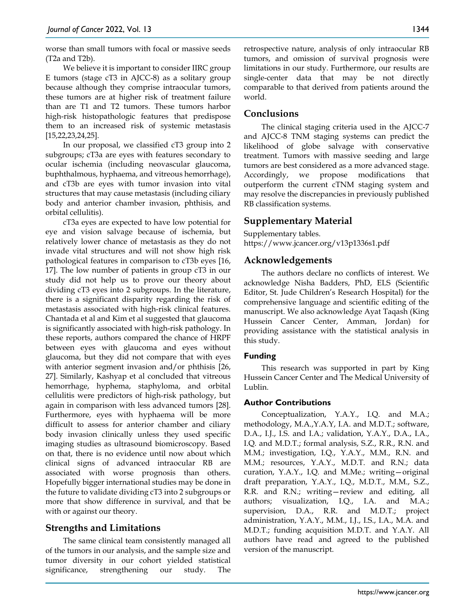worse than small tumors with focal or massive seeds (T2a and T2b).

We believe it is important to consider IIRC group E tumors (stage cT3 in AJCC-8) as a solitary group because although they comprise intraocular tumors, these tumors are at higher risk of treatment failure than are T1 and T2 tumors. These tumors harbor high-risk histopathologic features that predispose them to an increased risk of systemic metastasis [15,22,23,24,25].

In our proposal, we classified cT3 group into 2 subgroups; cT3a are eyes with features secondary to ocular ischemia (including neovascular glaucoma, buphthalmous, hyphaema, and vitreous hemorrhage), and cT3b are eyes with tumor invasion into vital structures that may cause metastasis (including ciliary body and anterior chamber invasion, phthisis, and orbital cellulitis).

cT3a eyes are expected to have low potential for eye and vision salvage because of ischemia, but relatively lower chance of metastasis as they do not invade vital structures and will not show high risk pathological features in comparison to cT3b eyes [16, 17]. The low number of patients in group cT3 in our study did not help us to prove our theory about dividing cT3 eyes into 2 subgroups. In the literature, there is a significant disparity regarding the risk of metastasis associated with high-risk clinical features. Chantada et al and Kim et al suggested that glaucoma is significantly associated with high-risk pathology. In these reports, authors compared the chance of HRPF between eyes with glaucoma and eyes without glaucoma, but they did not compare that with eyes with anterior segment invasion and/or phthisis [26, 27]. Similarly, Kashyap et al concluded that vitreous hemorrhage, hyphema, staphyloma, and orbital cellulitis were predictors of high-risk pathology, but again in comparison with less advanced tumors [28]. Furthermore, eyes with hyphaema will be more difficult to assess for anterior chamber and ciliary body invasion clinically unless they used specific imaging studies as ultrasound biomicroscopy. Based on that, there is no evidence until now about which clinical signs of advanced intraocular RB are associated with worse prognosis than others. Hopefully bigger international studies may be done in the future to validate dividing cT3 into 2 subgroups or more that show difference in survival, and that be with or against our theory.

# **Strengths and Limitations**

The same clinical team consistently managed all of the tumors in our analysis, and the sample size and tumor diversity in our cohort yielded statistical significance, strengthening our study. The retrospective nature, analysis of only intraocular RB tumors, and omission of survival prognosis were limitations in our study. Furthermore, our results are single-center data that may be not directly comparable to that derived from patients around the world.

# **Conclusions**

The clinical staging criteria used in the AJCC-7 and AJCC-8 TNM staging systems can predict the likelihood of globe salvage with conservative treatment. Tumors with massive seeding and large tumors are best considered as a more advanced stage. Accordingly, we propose modifications that outperform the current cTNM staging system and may resolve the discrepancies in previously published RB classification systems.

# **Supplementary Material**

Supplementary tables. https://www.jcancer.org/v13p1336s1.pdf

# **Acknowledgements**

The authors declare no conflicts of interest. We acknowledge Nisha Badders, PhD, ELS (Scientific Editor, St. Jude Children's Research Hospital) for the comprehensive language and scientific editing of the manuscript. We also acknowledge Ayat Taqash (King Hussein Cancer Center, Amman, Jordan) for providing assistance with the statistical analysis in this study.

# **Funding**

This research was supported in part by King Hussein Cancer Center and The Medical University of Lublin.

## **Author Contributions**

Conceptualization, Y.A.Y., I.Q. and M.A.; methodology, M.A.,Y.A.Y, I.A. and M.D.T.; software, D.A., I.J., I.S. and I.A.; validation, Y.A.Y., D.A., I.A., I.Q. and M.D.T.; formal analysis, S.Z., R.R., R.N. and M.M.; investigation, I.Q., Y.A.Y., M.M., R.N. and M.M.; resources, Y.A.Y., M.D.T. and R.N.; data curation, Y.A.Y., I.Q. and M.Me.; writing—original draft preparation, Y.A.Y., I.Q., M.D.T., M.M., S.Z., R.R. and R.N.; writing—review and editing, all authors; visualization, I.Q., I.A. and M.A.; supervision, D.A., R.R. and M.D.T.; project administration, Y.A.Y., M.M., I.J., I.S., I.A., M.A. and M.D.T.; funding acquisition M.D.T. and Y.A.Y. All authors have read and agreed to the published version of the manuscript.